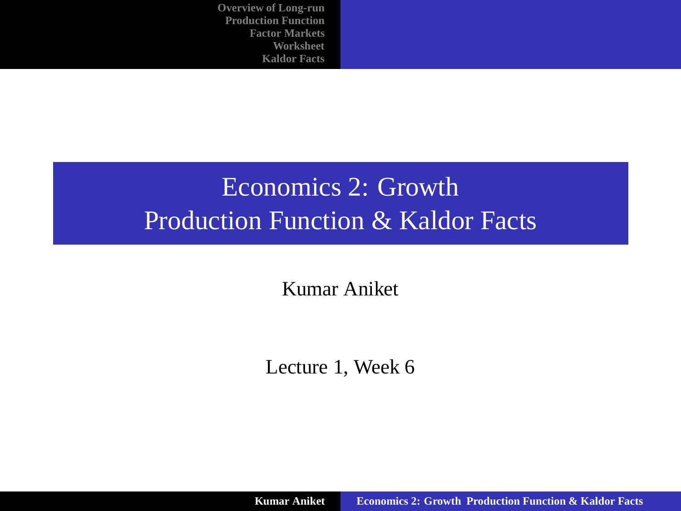# Economics 2: Growth Production Function & Kaldor Facts

Kumar Aniket

<span id="page-0-0"></span>Lecture 1, Week 6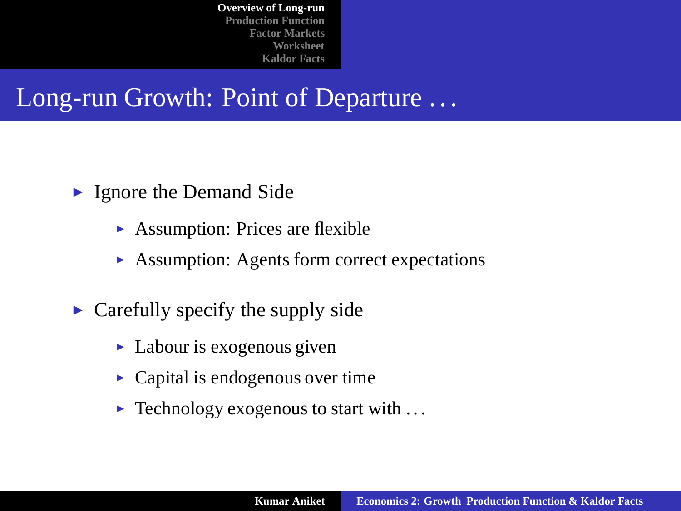Long-run Growth: Point of Departure ...

- $\blacktriangleright$  Ignore the Demand Side
	- $\triangleright$  Assumption: Prices are flexible
	- $\triangleright$  Assumption: Agents form correct expectations
- <span id="page-1-0"></span> $\triangleright$  Carefully specify the supply side
	- $\blacktriangleright$  Labour is exogenous given
	- $\triangleright$  Capital is endogenous over time
	- $\blacktriangleright$  Technology exogenous to start with ...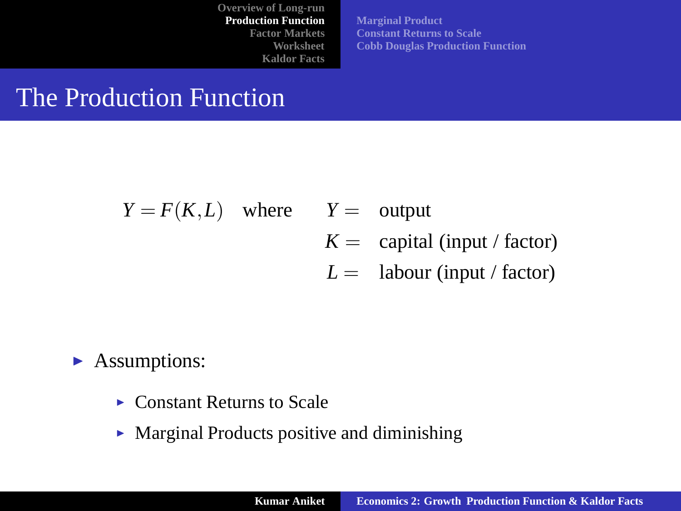**[Marginal Product](#page-3-0) [Constant Returns to Scale](#page-4-0) [Cobb Douglas Production Function](#page-6-0)**

## The Production Function

$$
Y = F(K,L)
$$
 where  $Y =$  output  
\n $K =$  capital (input / factor)

<span id="page-2-0"></span> $L =$  labour (input / factor)

#### $\blacktriangleright$  Assumptions:

- $\triangleright$  Constant Returns to Scale
- $\triangleright$  Marginal Products positive and diminishing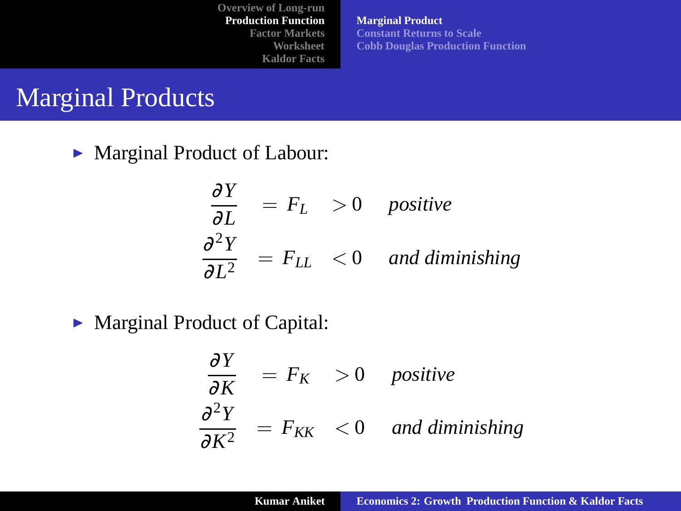**[Marginal Product](#page-3-0) [Constant Returns to Scale](#page-4-0) [Cobb Douglas Production Function](#page-6-0)**

## Marginal Products

 $\triangleright$  Marginal Product of Labour:

$$
\frac{\partial Y}{\partial L} = F_L > 0 \quad positive
$$
  

$$
\frac{\partial^2 Y}{\partial L^2} = F_{LL} < 0 \quad and \text{ diminishing}
$$

► Marginal Product of Capital:

<span id="page-3-0"></span>
$$
\frac{\partial Y}{\partial K} = F_K > 0 \quad positive
$$
  

$$
\frac{\partial^2 Y}{\partial K^2} = F_{KK} < 0 \quad and \text{ diminishing}
$$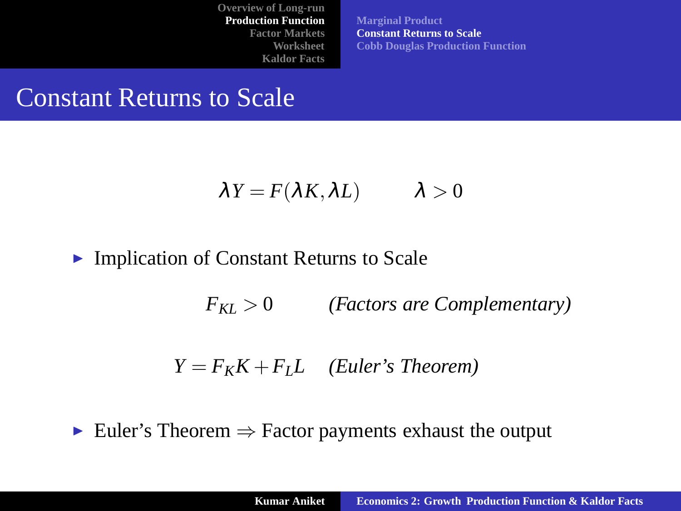**[Marginal Product](#page-3-0) [Constant Returns to Scale](#page-4-0) [Cobb Douglas Production Function](#page-6-0)**

#### Constant Returns to Scale

$$
\lambda Y = F(\lambda K, \lambda L) \qquad \lambda > 0
$$

#### $\blacktriangleright$  Implication of Constant Returns to Scale

*FKL* > 0 *(Factors are Complementary)*

<span id="page-4-0"></span>
$$
Y = F_K K + F_L L
$$
 (Euler's Theorem)

Euler's Theorem  $\Rightarrow$  Factor payments exhaust the output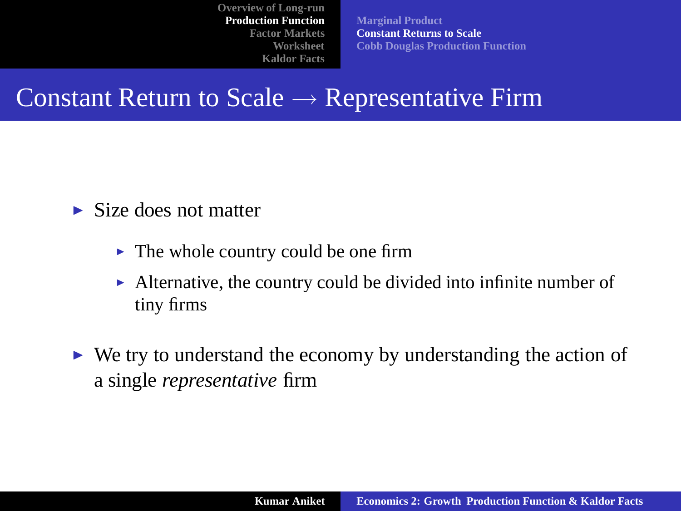**[Marginal Product](#page-3-0) [Constant Returns to Scale](#page-4-0) [Cobb Douglas Production Function](#page-6-0)**

## Constant Return to Scale  $\rightarrow$  Representative Firm

- $\blacktriangleright$  Size does not matter
	- $\triangleright$  The whole country could be one firm
	- $\blacktriangleright$  Alternative, the country could be divided into infinite number of tiny firms
- $\triangleright$  We try to understand the economy by understanding the action of a single *representative* firm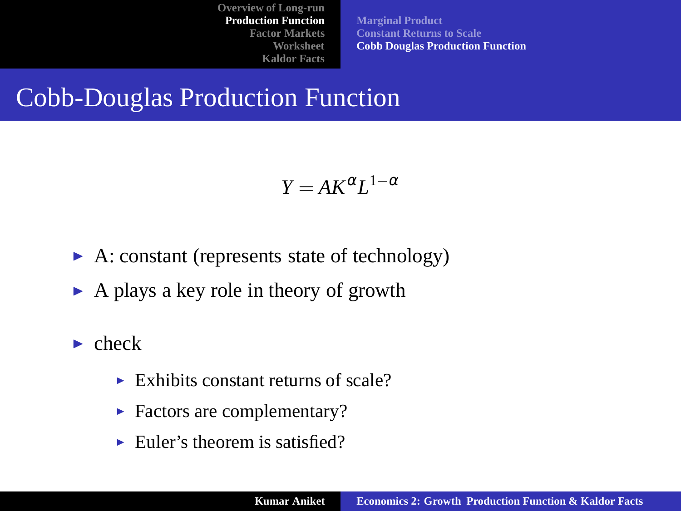**[Marginal Product](#page-3-0) [Constant Returns to Scale](#page-4-0) [Cobb Douglas Production Function](#page-6-0)**

## Cobb-Douglas Production Function

<span id="page-6-0"></span>
$$
Y = AK^{\alpha}L^{1-\alpha}
$$

- $\blacktriangleright$  A: constant (represents state of technology)
- $\triangleright$  A plays a key role in theory of growth
- $\blacktriangleright$  check
	- $\triangleright$  Exhibits constant returns of scale?
	- $\blacktriangleright$  Factors are complementary?
	- $\blacktriangleright$  Euler's theorem is satisfied?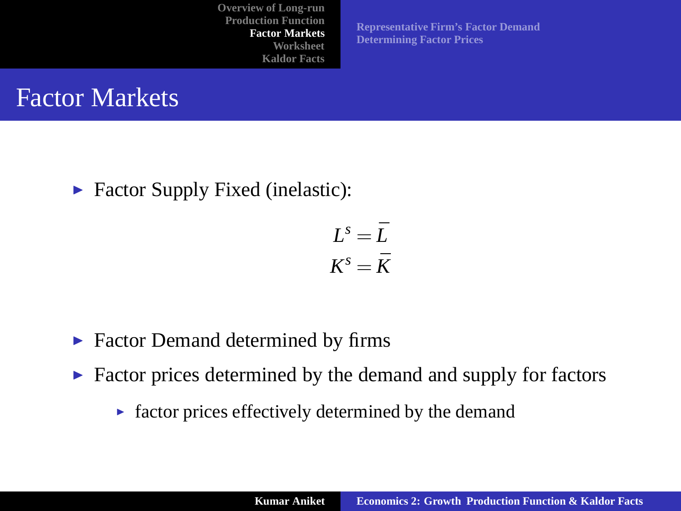**[Representative Firm's Factor Demand](#page-8-0) [Determining Factor Prices](#page-9-0)**

#### Factor Markets

 $\blacktriangleright$  Factor Supply Fixed (inelastic):

<span id="page-7-0"></span>
$$
L^s = \bar{L}
$$

$$
K^s = \bar{K}
$$

- $\blacktriangleright$  Factor Demand determined by firms
- $\triangleright$  Factor prices determined by the demand and supply for factors
	- $\blacktriangleright$  factor prices effectively determined by the demand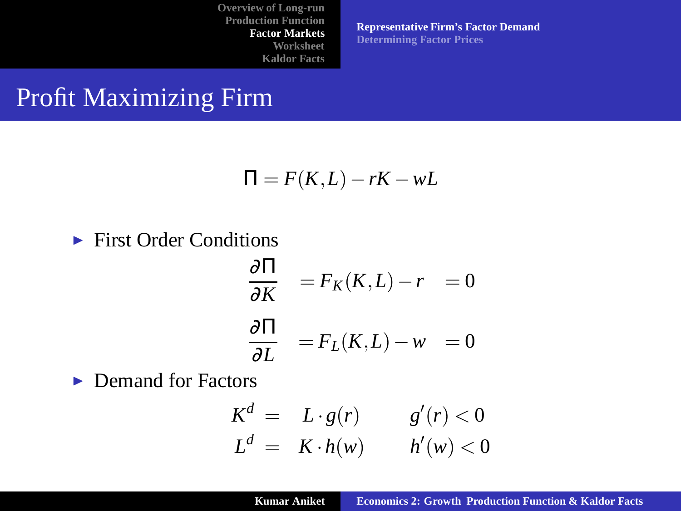**[Representative Firm's Factor Demand](#page-8-0) [Determining Factor Prices](#page-9-0)**

### Profit Maximizing Firm

$$
\Pi = F(K, L) - rK - wL
$$

#### $\blacktriangleright$  First Order Conditions

$$
\frac{\partial \Pi}{\partial K} = F_K(K, L) - r = 0
$$
  

$$
\frac{\partial \Pi}{\partial L} = F_L(K, L) - w = 0
$$

 $\blacktriangleright$  Demand for Factors

<span id="page-8-0"></span>
$$
Kd = L \cdot g(r) \qquad g'(r) < 0
$$
  

$$
Ld = K \cdot h(w) \qquad h'(w) < 0
$$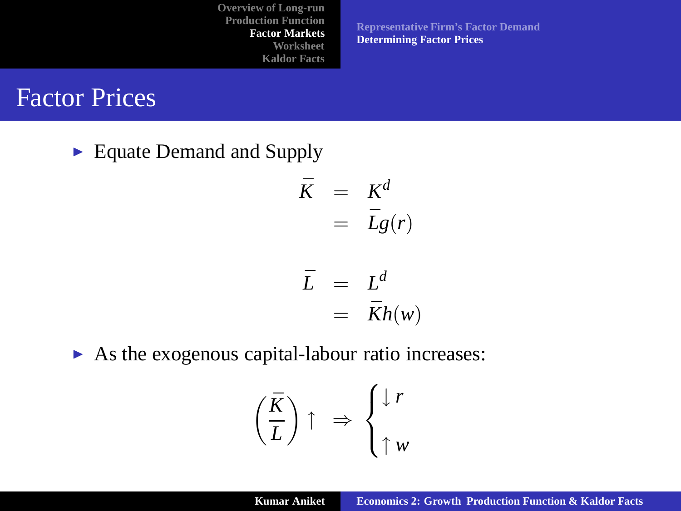**[Representative Firm's Factor Demand](#page-8-0) [Determining Factor Prices](#page-9-0)**

#### Factor Prices

 $\blacktriangleright$  Equate Demand and Supply

$$
\begin{array}{rcl}\n\bar{K} & = & K^d \\
& = & \bar{L}g(r)\n\end{array}
$$

$$
\begin{array}{rcl} \bar{L} & = & L^d \\ & = & \bar{K}h(w) \end{array}
$$

 $\triangleright$  As the exogenous capital-labour ratio increases:

<span id="page-9-0"></span>
$$
\left(\frac{\bar{K}}{\bar{L}}\right)\uparrow \Rightarrow \begin{cases} \downarrow r \\ \uparrow w \end{cases}
$$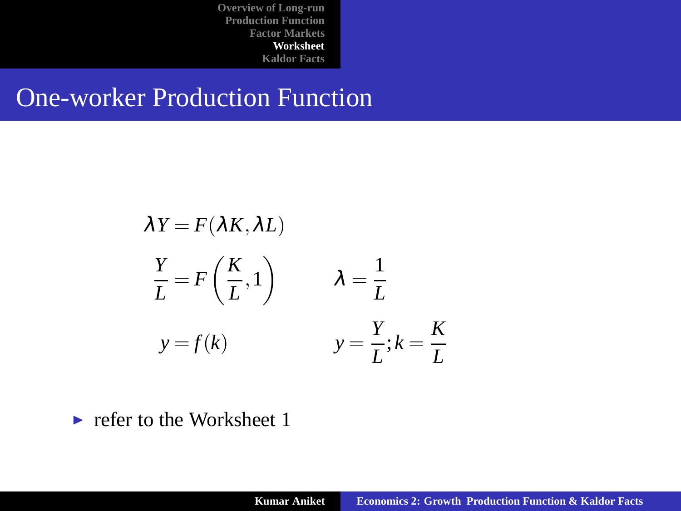### One-worker Production Function

$$
\lambda Y = F(\lambda K, \lambda L)
$$
  
\n
$$
\frac{Y}{L} = F\left(\frac{K}{L}, 1\right) \qquad \lambda = \frac{1}{L}
$$
  
\n
$$
y = f(k) \qquad \qquad y = \frac{Y}{L}; k = \frac{K}{L}
$$

<span id="page-10-0"></span> $\blacktriangleright$  refer to the Worksheet 1